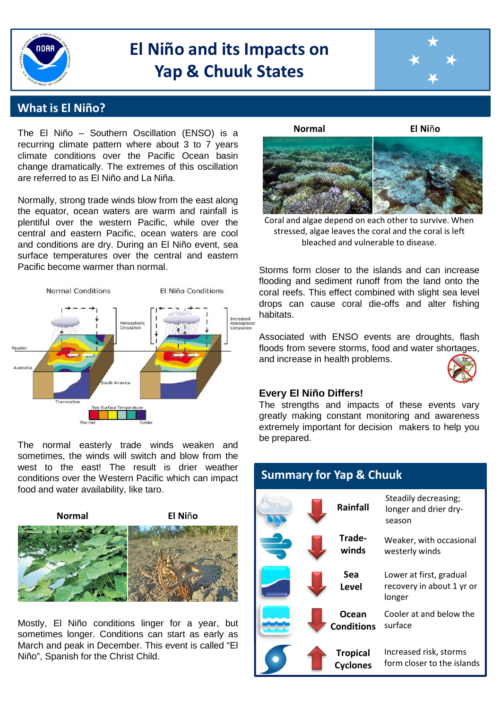

# **El Niño and its Impacts on Yap & Chuuk States**



### **What is El Niño?**

The El Niño – Southern Oscillation (ENSO) is a recurring climate pattern where about 3 to 7 years climate conditions over the Pacific Ocean basin change dramatically. The extremes of this oscillation are referred to as El Niño and La Niña.

Normally, strong trade winds blow from the east along the equator, ocean waters are warm and rainfall is plentiful over the western Pacific, while over the central and eastern Pacific, ocean waters are cool and conditions are dry. During an El Niño event, sea surface temperatures over the central and eastern Pacific become warmer than normal.



The normal easterly trade winds weaken and sometimes, the winds will switch and blow from the west to the east! The result is drier weather conditions over the Western Pacific which can impact food and water availability, like taro.



Mostly, El Niño conditions linger for a year, but sometimes longer. Conditions can start as early as March and peak in December. This event is called "El Niño", Spanish for the Christ Child.

**Normal El Ni**ñ**o**



bleached and vulnerable to disease. Coral and algae depend on each other to survive. When stressed, algae leaves the coral and the coral is left

Storms form closer to the islands and can increase flooding and sediment runoff from the land onto the coral reefs. This effect combined with slight sea level drops can cause coral die-offs and alter fishing habitats.

Associated with ENSO events are droughts, flash floods from severe storms, food and water shortages, and increase in health problems.



#### **Every El Niño Differs!**

The strengths and impacts of these events vary greatly making constant monitoring and awareness extremely important for decision makers to help you be prepared.

| <b>Summary for Yap &amp; Chuuk</b> |                                    |                                                                |
|------------------------------------|------------------------------------|----------------------------------------------------------------|
|                                    | <b>Rainfall</b>                    | Steadily decreasing;<br>longer and drier dry-<br>season        |
|                                    | Trade-<br>winds                    | Weaker, with occasional<br>westerly winds                      |
|                                    | Sea<br>Level                       | Lower at first, gradual<br>recovery in about 1 yr or<br>longer |
|                                    | Ocean<br><b>Conditions</b>         | Cooler at and below the<br>surface                             |
|                                    | <b>Tropical</b><br><b>Cyclones</b> | Increased risk, storms<br>form closer to the islands           |